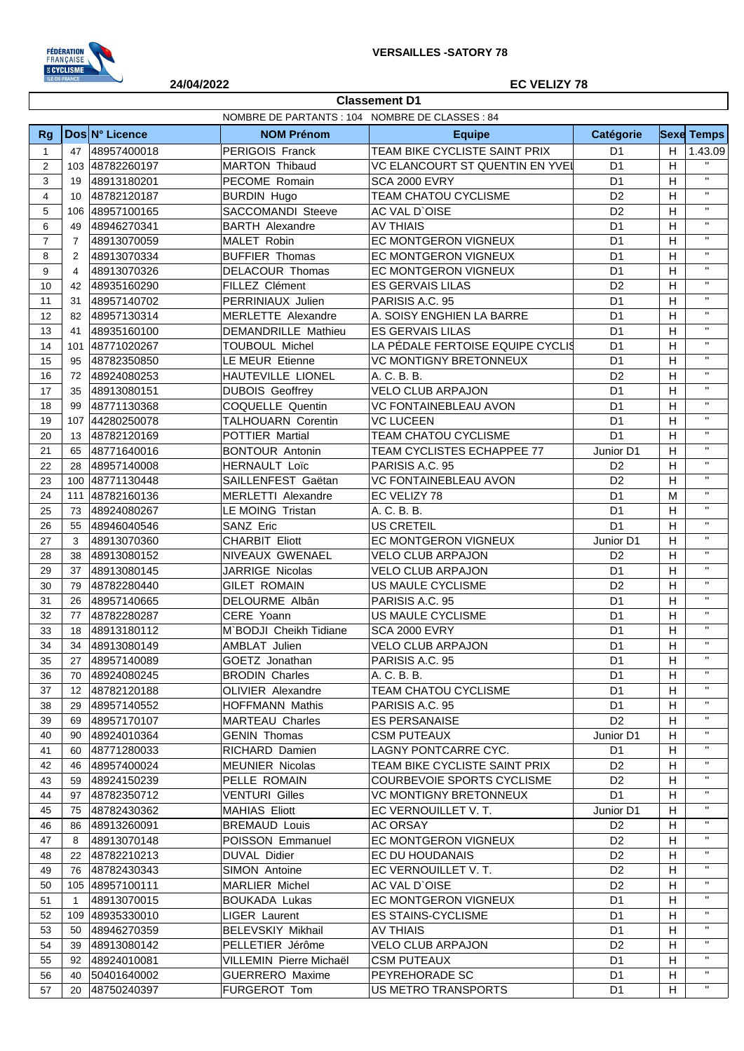

**Classement D1**

## **24/04/2022 EC VELIZY 78**

|                |                |                            | NOMBRE DE PARTANTS : 104 NOMBRE DE CLASSES : 84 |                                      |                                   |                |                    |
|----------------|----------------|----------------------------|-------------------------------------------------|--------------------------------------|-----------------------------------|----------------|--------------------|
| <b>Rg</b>      |                | Dos N° Licence             | <b>NOM Prénom</b>                               | <b>Equipe</b>                        | Catégorie                         |                | <b>Sexe Temps</b>  |
| $\mathbf{1}$   | 47             | 48957400018                | PERIGOIS Franck                                 | TEAM BIKE CYCLISTE SAINT PRIX        | D <sub>1</sub>                    | H              | 1.43.09            |
| 2              |                | 103 48782260197            | MARTON Thibaud                                  | VC ELANCOURT ST QUENTIN EN YVEI      | D <sub>1</sub>                    | H              | $\mathbf H$        |
| 3              | 19             | 48913180201                | PECOME Romain                                   | <b>SCA 2000 EVRY</b>                 | D <sub>1</sub>                    | H              | $\mathbf{H}$       |
| $\overline{4}$ | 10             | 48782120187                | <b>BURDIN Hugo</b>                              | TEAM CHATOU CYCLISME                 | D <sub>2</sub>                    | H              | $\mathbf{H}$       |
| 5              | 106            | 48957100165                | SACCOMANDI Steeve                               | AC VAL D'OISE                        | D <sub>2</sub>                    | H              | $\mathbf{H}$       |
| 6              | 49             | 48946270341                | <b>BARTH Alexandre</b>                          | <b>AV THIAIS</b>                     | D <sub>1</sub>                    | H              | $\mathbf{H}$       |
| $\overline{7}$ | $\overline{7}$ | 48913070059                | MALET Robin                                     | EC MONTGERON VIGNEUX                 | D <sub>1</sub>                    | H              | $\mathbf{H}$       |
| 8              | 2              | 48913070334                | <b>BUFFIER Thomas</b>                           | EC MONTGERON VIGNEUX                 | D <sub>1</sub>                    | H              | $\mathbf{H}$       |
| 9              | 4              | 48913070326                | DELACOUR Thomas                                 | EC MONTGERON VIGNEUX                 | D <sub>1</sub>                    | H              | $\mathbf{H}$       |
| 10             | 42             | 48935160290                | FILLEZ Clément                                  | <b>ES GERVAIS LILAS</b>              | D <sub>2</sub>                    | H              | $\mathbf{H}$       |
| 11             | 31             | 48957140702                | PERRINIAUX Julien                               | PARISIS A.C. 95                      | D <sub>1</sub>                    | H              | $\mathbf{H}$       |
| 12             | 82             | 48957130314                | <b>MERLETTE Alexandre</b>                       | A. SOISY ENGHIEN LA BARRE            | D <sub>1</sub>                    | H              | $\mathbf{H}$       |
| 13             | 41             | 48935160100                | DEMANDRILLE Mathieu                             | <b>ES GERVAIS LILAS</b>              | D <sub>1</sub>                    | H              | $\mathbf{H}$       |
| 14             | 101            | 48771020267                | <b>TOUBOUL Michel</b>                           | LA PÉDALE FERTOISE EQUIPE CYCLIS     | D <sub>1</sub>                    | H              | $\mathbf{H}$       |
| 15             | 95             | 48782350850                | <b>LE MEUR Etienne</b>                          | <b>VC MONTIGNY BRETONNEUX</b>        | D <sub>1</sub>                    | H              | $\mathbf{H}$       |
| 16             | 72             | 48924080253                | HAUTEVILLE LIONEL                               | A. C. B. B.                          | D <sub>2</sub>                    | H              | $\mathbf{H}$       |
| 17             | 35             | 48913080151                | <b>DUBOIS Geoffrey</b>                          | <b>VELO CLUB ARPAJON</b>             | D <sub>1</sub>                    | H              | $\mathbf{H}$       |
| 18             | 99             | 48771130368                | COQUELLE Quentin                                | <b>VC FONTAINEBLEAU AVON</b>         | D <sub>1</sub>                    | H              | $\mathbf{H}$       |
| 19             | 107            | 44280250078                | TALHOUARN Corentin                              | <b>VC LUCEEN</b>                     | D <sub>1</sub>                    | H              | $\mathbf{H}$       |
| 20             | 13             | 48782120169                | POTTIER Martial                                 | TEAM CHATOU CYCLISME                 | D <sub>1</sub>                    | H              | $\mathbf{H}$       |
| 21             | 65             | 48771640016                | <b>BONTOUR Antonin</b>                          | TEAM CYCLISTES ECHAPPEE 77           | Junior D1                         | H              | $\mathbf{H}$       |
| 22             | 28             | 48957140008                | <b>HERNAULT Loïc</b>                            | PARISIS A.C. 95                      | D <sub>2</sub>                    | H              | $\mathbf{H}$       |
| 23             | 100            | 48771130448                | SAILLENFEST Gaëtan                              | VC FONTAINEBLEAU AVON                | D <sub>2</sub>                    | H              | $\mathbf{H}$       |
| 24             | 111            | 48782160136                | MERLETTI Alexandre                              | EC VELIZY 78                         | D <sub>1</sub>                    | M              | $\mathbf{H}$       |
| 25             | 73             | 48924080267                | LE MOING Tristan                                | A. C. B. B.                          | D <sub>1</sub>                    | H              | $\mathbf{H}$       |
| 26             | 55             | 48946040546                | SANZ Eric                                       | US CRETEIL                           | D <sub>1</sub>                    | H              | $\mathbf{H}$       |
| 27             | 3              | 48913070360                | <b>CHARBIT Eliott</b>                           | EC MONTGERON VIGNEUX                 | Junior D1                         | H              | $\mathbf{H}$       |
|                |                |                            | NIVEAUX GWENAEL                                 | <b>VELO CLUB ARPAJON</b>             | D <sub>2</sub>                    | H              | $\mathbf{H}$       |
| 28<br>29       | 38<br>37       | 48913080152<br>48913080145 | JARRIGE Nicolas                                 | <b>VELO CLUB ARPAJON</b>             | D <sub>1</sub>                    | H              | $\mathbf{H}$       |
| 30             | 79             | 48782280440                | <b>GILET ROMAIN</b>                             | US MAULE CYCLISME                    | D <sub>2</sub>                    | H              | $\mathbf{H}$       |
|                |                |                            | DELOURME Albân                                  |                                      | D <sub>1</sub>                    | H              | $\mathbf{H}$       |
| 31             | 26             | 48957140665                | CERE Yoann                                      | PARISIS A.C. 95<br>US MAULE CYCLISME | D <sub>1</sub>                    | H              | $\mathbf{H}$       |
| 32             | 77             | 48782280287                |                                                 |                                      |                                   | H              | $\mathbf{H}$       |
| 33             | 18             | 48913180112                | M`BODJI Cheikh Tidiane                          | <b>SCA 2000 EVRY</b>                 | D <sub>1</sub>                    | H              | $\mathbf{H}$       |
| 34             | 34             | 48913080149                | AMBLAT Julien<br>GOETZ Jonathan                 | <b>VELO CLUB ARPAJON</b>             | D <sub>1</sub>                    | H              | $\mathbf{H}$       |
| 35             | 27             | 48957140089<br>48924080245 | <b>BRODIN Charles</b>                           | PARISIS A.C. 95<br>A. C. B. B.       | D <sub>1</sub><br>$\overline{D1}$ | $\overline{H}$ | $\mathbf{H}$       |
| 36             | 70             |                            |                                                 |                                      |                                   |                | $\mathbf{H}$       |
| 37             | 12             | 48782120188                | <b>OLIVIER Alexandre</b>                        | <b>TEAM CHATOU CYCLISME</b>          | D1                                | H              | $\mathbf H$        |
| 38             | 29             | 48957140552                | <b>HOFFMANN Mathis</b>                          | PARISIS A.C. 95                      | D <sub>1</sub>                    | H              | $\mathbf H$        |
| 39             | 69             | 48957170107                | MARTEAU Charles                                 | <b>ES PERSANAISE</b>                 | D <sub>2</sub>                    | H              | $\pmb{\mathsf{H}}$ |
| 40             | 90             | 48924010364                | <b>GENIN Thomas</b>                             | <b>CSM PUTEAUX</b>                   | Junior D1                         | H              | $\mathbf H$        |
| 41             | 60             | 48771280033                | <b>RICHARD Damien</b>                           | LAGNY PONTCARRE CYC.                 | D1                                | H              | $\pmb{\mathsf{H}}$ |
| 42             | 46             | 48957400024                | MEUNIER Nicolas                                 | TEAM BIKE CYCLISTE SAINT PRIX        | D <sub>2</sub>                    | H              | $\pmb{\mathsf{H}}$ |
| 43             | 59             | 48924150239                | PELLE ROMAIN                                    | COURBEVOIE SPORTS CYCLISME           | D <sub>2</sub>                    | H              | $\mathbf H$        |
| 44             | 97             | 48782350712                | <b>VENTURI Gilles</b>                           | <b>VC MONTIGNY BRETONNEUX</b>        | D <sub>1</sub>                    | H              | $\pmb{\mathsf{H}}$ |
| 45             | 75             | 48782430362                | MAHIAS Eliott                                   | EC VERNOUILLET V.T.                  | Junior D1                         | H              | $\pmb{\mathsf{H}}$ |
| 46             | 86             | 48913260091                | <b>BREMAUD Louis</b>                            | <b>AC ORSAY</b>                      | D <sub>2</sub>                    | H              | $\mathbf H$        |
| 47             | 8              | 48913070148                | POISSON Emmanuel                                | EC MONTGERON VIGNEUX                 | D <sub>2</sub>                    | H              | $\mathbf{H}$       |
| 48             | 22             | 48782210213                | DUVAL Didier                                    | EC DU HOUDANAIS                      | D <sub>2</sub>                    | H              |                    |
| 49             | 76             | 48782430343                | SIMON Antoine                                   | EC VERNOUILLET V.T.                  | D <sub>2</sub>                    | H              | $\pmb{\mathsf{H}}$ |
| 50             |                | 105 48957100111            | <b>MARLIER Michel</b>                           | AC VAL D'OISE                        | D <sub>2</sub>                    | H              | $\pmb{\mathsf{H}}$ |
| 51             | $\mathbf{1}$   | 48913070015                | <b>BOUKADA Lukas</b>                            | EC MONTGERON VIGNEUX                 | D <sub>1</sub>                    | H              | $\mathbf{H}$       |
| 52             | 109            | 48935330010                | <b>LIGER Laurent</b>                            | <b>ES STAINS-CYCLISME</b>            | D <sub>1</sub>                    | H              | $\pmb{\mathsf{H}}$ |
| 53             | 50             | 48946270359                | <b>BELEVSKIY Mikhail</b>                        | <b>AV THIAIS</b>                     | D <sub>1</sub>                    | H              | $\pmb{\mathsf{H}}$ |
| 54             | 39             | 48913080142                | PELLETIER Jérôme                                | <b>VELO CLUB ARPAJON</b>             | D <sub>2</sub>                    | H              | $\pmb{\mathsf{H}}$ |
| 55             | 92             | 48924010081                | <b>VILLEMIN Pierre Michaël</b>                  | <b>CSM PUTEAUX</b>                   | D <sub>1</sub>                    | H              | $\pmb{\mathsf{H}}$ |
| 56             | 40             | 50401640002                | <b>GUERRERO</b> Maxime                          | PEYREHORADE SC                       | D <sub>1</sub>                    | H              | $\mathbf{H}$       |
| 57             | 20             | 48750240397                | FURGEROT Tom                                    | US METRO TRANSPORTS                  | D <sub>1</sub>                    | H              | $\mathbf H$        |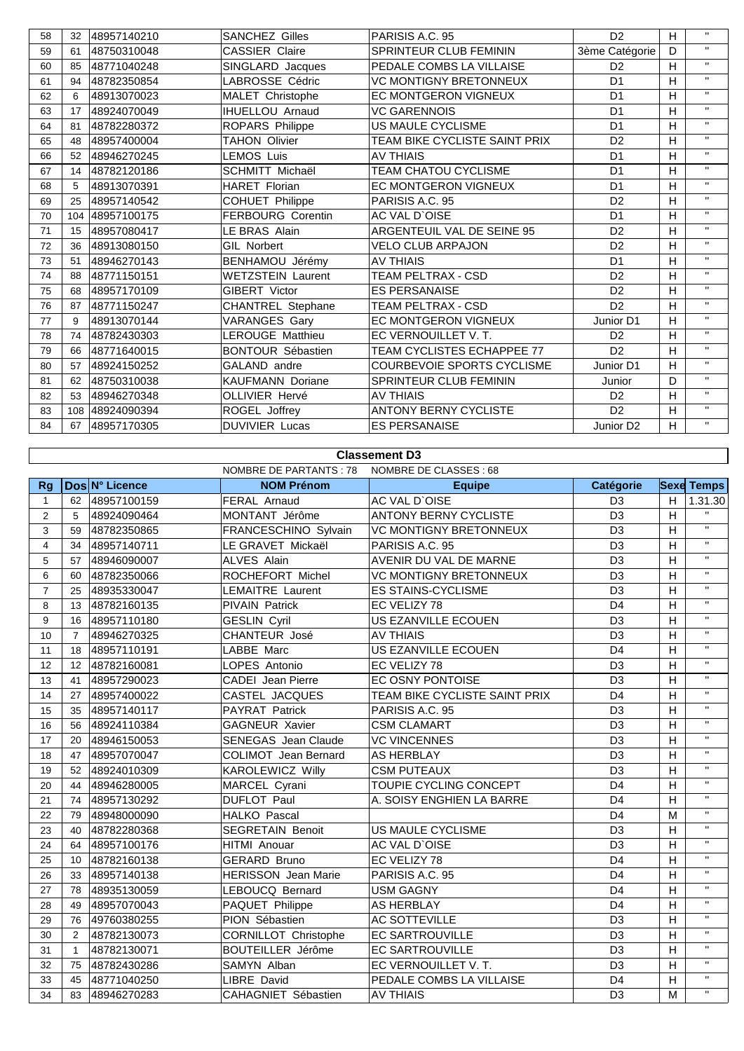| 58 | 32  | 48957140210 | <b>SANCHEZ Gilles</b>    | PARISIS A.C. 95               | D <sub>2</sub>        | H | $\mathbf{H}$ |
|----|-----|-------------|--------------------------|-------------------------------|-----------------------|---|--------------|
| 59 | 61  | 48750310048 | <b>CASSIER Claire</b>    | <b>SPRINTEUR CLUB FEMININ</b> | 3ème Catégorie        | D | $\mathbf{H}$ |
| 60 | 85  | 48771040248 | SINGLARD Jacques         | PEDALE COMBS LA VILLAISE      | D <sub>2</sub>        | H | $\mathbf{H}$ |
| 61 | 94  | 48782350854 | LABROSSE Cédric          | <b>VC MONTIGNY BRETONNEUX</b> | D <sub>1</sub>        | H | $\mathbf{H}$ |
| 62 | 6   | 48913070023 | MALET Christophe         | <b>EC MONTGERON VIGNEUX</b>   | D <sub>1</sub>        | н | $\mathbf{H}$ |
| 63 | 17  | 48924070049 | <b>IHUELLOU Arnaud</b>   | <b>VC GARENNOIS</b>           | D <sub>1</sub>        | H | $\mathbf{H}$ |
| 64 | 81  | 48782280372 | ROPARS Philippe          | US MAULE CYCLISME             | D <sub>1</sub>        | H | $\mathbf{H}$ |
| 65 | 48  | 48957400004 | <b>TAHON Olivier</b>     | TEAM BIKE CYCLISTE SAINT PRIX | D <sub>2</sub>        | H | $\mathbf{H}$ |
| 66 | 52  | 48946270245 | <b>LEMOS Luis</b>        | <b>AV THIAIS</b>              | D <sub>1</sub>        | H | $\mathbf{H}$ |
| 67 | 14  | 48782120186 | <b>SCHMITT Michaël</b>   | <b>TEAM CHATOU CYCLISME</b>   | D <sub>1</sub>        | H | $\mathbf{H}$ |
| 68 | 5   | 48913070391 | <b>HARET Florian</b>     | <b>EC MONTGERON VIGNEUX</b>   | D <sub>1</sub>        | H | $\mathbf{H}$ |
| 69 | 25  | 48957140542 | <b>COHUET Philippe</b>   | PARISIS A.C. 95               | D <sub>2</sub>        | H | $\mathbf{H}$ |
| 70 | 104 | 48957100175 | <b>FERBOURG Corentin</b> | AC VAL D'OISE                 | D <sub>1</sub>        | H | $\mathbf{H}$ |
| 71 | 15  | 48957080417 | LE BRAS Alain            | ARGENTEUIL VAL DE SEINE 95    | D <sub>2</sub>        | H | $\mathbf{H}$ |
| 72 | 36  | 48913080150 | <b>GIL Norbert</b>       | <b>VELO CLUB ARPAJON</b>      | D <sub>2</sub>        | H | $\mathbf{H}$ |
| 73 | 51  | 48946270143 | BENHAMOU Jérémy          | <b>AV THIAIS</b>              | D <sub>1</sub>        | H | $\mathbf{H}$ |
| 74 | 88  | 48771150151 | <b>WETZSTEIN Laurent</b> | TEAM PELTRAX - CSD            | D <sub>2</sub>        | H | $\mathbf{H}$ |
| 75 | 68  | 48957170109 | <b>GIBERT Victor</b>     | <b>ES PERSANAISE</b>          | D <sub>2</sub>        | H | $\mathbf{H}$ |
| 76 | 87  | 48771150247 | CHANTREL Stephane        | TEAM PELTRAX - CSD            | D <sub>2</sub>        | H | $\mathbf{H}$ |
| 77 | 9   | 48913070144 | VARANGES Gary            | <b>EC MONTGERON VIGNEUX</b>   | Junior D1             | H | $\mathbf{H}$ |
| 78 | 74  | 48782430303 | <b>LEROUGE Matthieu</b>  | EC VERNOUILLET V. T.          | D <sub>2</sub>        | н | $\mathbf{H}$ |
| 79 | 66  | 48771640015 | <b>BONTOUR Sébastien</b> | TEAM CYCLISTES ECHAPPEE 77    | D <sub>2</sub>        | H | $\mathbf{H}$ |
| 80 | 57  | 48924150252 | GALAND andre             | COURBEVOIE SPORTS CYCLISME    | Junior D1             | H | $\mathbf{H}$ |
| 81 | 62  | 48750310038 | <b>KAUFMANN Doriane</b>  | SPRINTEUR CLUB FEMININ        | Junior                | D | $\mathbf{H}$ |
| 82 | 53  | 48946270348 | <b>OLLIVIER Hervé</b>    | <b>AV THIAIS</b>              | D <sub>2</sub>        | H | $\mathbf{H}$ |
| 83 | 108 | 48924090394 | ROGEL Joffrey            | <b>ANTONY BERNY CYCLISTE</b>  | D <sub>2</sub>        | H | $\mathbf{H}$ |
| 84 | 67  | 48957170305 | <b>DUVIVIER Lucas</b>    | <b>ES PERSANAISE</b>          | Junior D <sub>2</sub> | H | $\mathbf{H}$ |

## **Classement D3**

 $\mathsf{l}$ 

| <b>NOMBRE DE PARTANTS: 78</b><br>NOMBRE DE CLASSES : 68 |                 |                |                             |                               |                  |   |                   |
|---------------------------------------------------------|-----------------|----------------|-----------------------------|-------------------------------|------------------|---|-------------------|
| Rg                                                      |                 | Dos N° Licence | <b>NOM Prénom</b>           | <b>Equipe</b>                 | <b>Catégorie</b> |   | <b>Sexe Temps</b> |
| 1                                                       | 62              | 48957100159    | <b>FERAL Arnaud</b>         | AC VAL D'OISE                 | D <sub>3</sub>   | H | 1.31.30           |
| $\overline{2}$                                          | 5               | 48924090464    | MONTANT Jérôme              | <b>ANTONY BERNY CYCLISTE</b>  | D <sub>3</sub>   | H | $\mathbf{H}$      |
| 3                                                       | 59              | 48782350865    | FRANCESCHINO Sylvain        | <b>VC MONTIGNY BRETONNEUX</b> | D <sub>3</sub>   | H | $\mathbf{H}$      |
| $\overline{4}$                                          | 34              | 48957140711    | LE GRAVET Mickaël           | PARISIS A.C. 95               | D <sub>3</sub>   | H | $\mathbf{H}$      |
| 5                                                       | 57              | 48946090007    | <b>ALVES Alain</b>          | AVENIR DU VAL DE MARNE        | D <sub>3</sub>   | H | $\mathbf{H}$      |
| 6                                                       | 60              | 48782350066    | ROCHEFORT Michel            | <b>VC MONTIGNY BRETONNEUX</b> | D <sub>3</sub>   | H | $\mathbf{H}$      |
| $\overline{7}$                                          | 25              | 48935330047    | <b>LEMAITRE Laurent</b>     | <b>ES STAINS-CYCLISME</b>     | D <sub>3</sub>   | H | $\mathbf{H}$      |
| 8                                                       | 13              | 48782160135    | <b>PIVAIN Patrick</b>       | EC VELIZY 78                  | D <sub>4</sub>   | H | $\mathbf{H}$      |
| 9                                                       | 16              | 48957110180    | <b>GESLIN Cyril</b>         | US EZANVILLE ECOUEN           | D <sub>3</sub>   | H | $\mathbf H$       |
| 10                                                      | $\overline{7}$  | 48946270325    | CHANTEUR José               | <b>AV THIAIS</b>              | D <sub>3</sub>   | H | $\mathbf{H}$      |
| 11                                                      | 18              | 48957110191    | LABBE Marc                  | US EZANVILLE ECOUEN           | D <sub>4</sub>   | H | $\mathbf H$       |
| 12                                                      | 12 <sup>°</sup> | 48782160081    | LOPES Antonio               | EC VELIZY 78                  | D <sub>3</sub>   | H | $\mathbf{H}$      |
| 13                                                      | 41              | 48957290023    | CADEI Jean Pierre           | EC OSNY PONTOISE              | D <sub>3</sub>   | H | $\mathbf{H}$      |
| 14                                                      | 27              | 48957400022    | CASTEL JACQUES              | TEAM BIKE CYCLISTE SAINT PRIX | D <sub>4</sub>   | H | $\mathbf H$       |
| 15                                                      | 35              | 48957140117    | PAYRAT Patrick              | PARISIS A.C. 95               | D <sub>3</sub>   | H | $\mathbf{H}$      |
| 16                                                      | 56              | 48924110384    | <b>GAGNEUR Xavier</b>       | <b>CSM CLAMART</b>            | D <sub>3</sub>   | H | $\mathbf H$       |
| 17                                                      | 20              | 48946150053    | <b>SENEGAS</b> Jean Claude  | <b>VC VINCENNES</b>           | D <sub>3</sub>   | H | $\mathbf{H}$      |
| 18                                                      | 47              | 48957070047    | <b>COLIMOT</b> Jean Bernard | <b>AS HERBLAY</b>             | D <sub>3</sub>   | H | $\mathbf{H}$      |
| 19                                                      | 52              | 48924010309    | <b>KAROLEWICZ Willy</b>     | <b>CSM PUTEAUX</b>            | D <sub>3</sub>   | H | $\mathbf H$       |
| 20                                                      | 44              | 48946280005    | MARCEL Cyrani               | TOUPIE CYCLING CONCEPT        | D <sub>4</sub>   | H | $\mathbf{H}$      |
| 21                                                      | 74              | 48957130292    | <b>DUFLOT Paul</b>          | A. SOISY ENGHIEN LA BARRE     | D <sub>4</sub>   | H | $\mathbf{H}$      |
| 22                                                      | 79              | 48948000090    | <b>HALKO Pascal</b>         |                               | D <sub>4</sub>   | M | $\mathbf{H}$      |
| 23                                                      | 40              | 48782280368    | <b>SEGRETAIN Benoit</b>     | US MAULE CYCLISME             | D <sub>3</sub>   | H | $\mathbf H$       |
| 24                                                      | 64              | 48957100176    | HITMI Anouar                | AC VAL D'OISE                 | D <sub>3</sub>   | H | $\mathbf{H}$      |
| 25                                                      | 10 <sup>°</sup> | 48782160138    | <b>GERARD Bruno</b>         | EC VELIZY 78                  | D <sub>4</sub>   | H | $\mathbf{H}$      |
| 26                                                      | 33              | 48957140138    | <b>HERISSON</b> Jean Marie  | PARISIS A.C. 95               | D <sub>4</sub>   | H | $\mathbf{H}$      |
| 27                                                      | 78              | 48935130059    | LEBOUCQ Bernard             | <b>USM GAGNY</b>              | D <sub>4</sub>   | H | $\mathbf{H}$      |
| 28                                                      | 49              | 48957070043    | PAQUET Philippe             | <b>AS HERBLAY</b>             | D <sub>4</sub>   | H | $\mathbf H$       |
| 29                                                      | 76              | 49760380255    | PION Sébastien              | <b>AC SOTTEVILLE</b>          | D <sub>3</sub>   | H | $\mathbf{H}$      |
| 30                                                      | 2               | 48782130073    | CORNILLOT Christophe        | <b>EC SARTROUVILLE</b>        | D <sub>3</sub>   | H | $\mathbf{H}$      |
| 31                                                      | $\mathbf{1}$    | 48782130071    | <b>BOUTEILLER Jérôme</b>    | <b>EC SARTROUVILLE</b>        | D <sub>3</sub>   | H | $\mathbf{H}$      |
| 32                                                      | 75              | 48782430286    | SAMYN Alban                 | EC VERNOUILLET V.T.           | D <sub>3</sub>   | H | $\mathbf{H}$      |
| 33                                                      | 45              | 48771040250    | <b>LIBRE David</b>          | PEDALE COMBS LA VILLAISE      | D <sub>4</sub>   | H | $\mathbf{H}$      |
| 34                                                      |                 | 83 48946270283 | CAHAGNIET Sébastien         | <b>AV THIAIS</b>              | D <sub>3</sub>   | M | $\mathbf H$       |